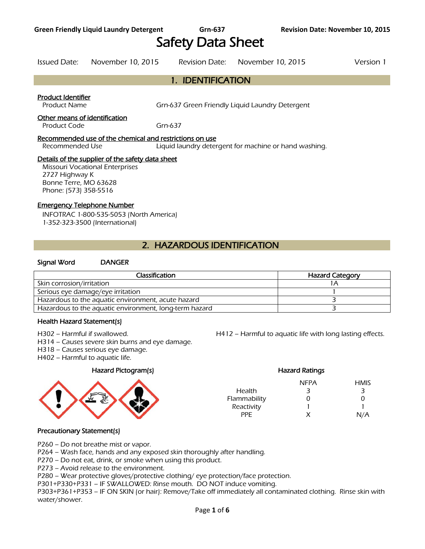# Safety Data Sheet

Issued Date: November 10, 2015 Revision Date: November 10, 2015 Version 1

# 1. IDENTIFICATION

#### Product Identifier

Product Name **Grn-637 Green Friendly Liquid Laundry Detergent** 

#### Other means of identification

Product Code Grn-637

#### Recommended use of the chemical and restrictions on use

Recommended Use Liquid laundry detergent for machine or hand washing.

#### Details of the supplier of the safety data sheet

Missouri Vocational Enterprises 2727 Highway K Bonne Terre, MO 63628 Phone: (573) 358-5516

#### Emergency Telephone Number

INFOTRAC 1-800-535-5053 (North America) 1-352-323-3500 (International)

# 2. HAZARDOUS IDENTIFICATION

#### Signal Word DANGER

| Classification                                         | <b>Hazard Category</b> |
|--------------------------------------------------------|------------------------|
| Skin corrosion/irritation                              |                        |
| Serious eye damage/eye irritation                      |                        |
| Hazardous to the aquatic environment, acute hazard     |                        |
| Hazardous to the aquatic environment, long-term hazard |                        |
|                                                        |                        |

#### Health Hazard Statement(s)

H302 – Harmful if swallowed.

- H314 Causes severe skin burns and eye damage.
- H318 Causes serious eye damage.
- H402 Harmful to aquatic life.

#### Hazard Pictogram(s)



|  | H4 i Z – Harmful to aquatic life with long lasting effects. |  |  |
|--|-------------------------------------------------------------|--|--|
|  |                                                             |  |  |

|              | <b>Hazard Ratings</b> |             |
|--------------|-----------------------|-------------|
|              | NFPA                  | <b>HMIS</b> |
| Health       | ₹                     | З           |
| Flammability |                       | O           |
| Reactivity   |                       |             |
| PPF          | x                     | N/A         |

#### Precautionary Statement(s)

P260 – Do not breathe mist or vapor.

P264 – Wash face, hands and any exposed skin thoroughly after handling.

P270 – Do not eat, drink, or smoke when using this product.

P273 – Avoid release to the environment.

P280 – Wear protective gloves/protective clothing/ eye protection/face protection.

P301+P330+P331 – IF SWALLOWED: Rinse mouth. DO NOT induce vomiting.

P303+P361+P353 – IF ON SKIN (or hair): Remove/Take off immediately all contaminated clothing. Rinse skin with water/shower.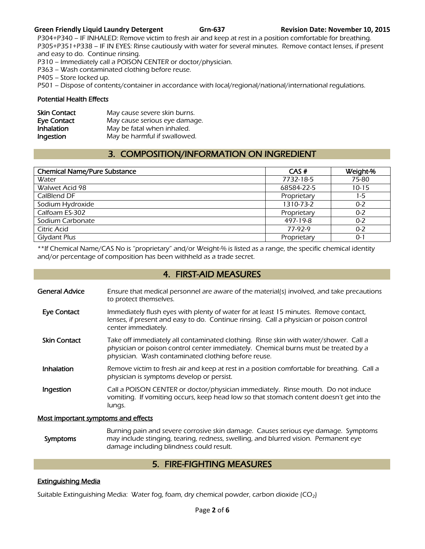#### **Green Friendly Liquid Laundry Detergent Grn-637 Revision Date: November 10, 2015**

P304+P340 – IF INHALED: Remove victim to fresh air and keep at rest in a position comfortable for breathing. P305+P351+P338 – IF IN EYES: Rinse cautiously with water for several minutes. Remove contact lenses, if present and easy to do. Continue rinsing.

P310 – Immediately call a POISON CENTER or doctor/physician.

P363 – Wash contaminated clothing before reuse.

P405 – Store locked up.

P501 – Dispose of contents/container in accordance with local/regional/national/international regulations.

#### Potential Health Effects

| <b>Skin Contact</b> | May cause severe skin burns.  |
|---------------------|-------------------------------|
| Eye Contact         | May cause serious eye damage. |
| <b>Inhalation</b>   | May be fatal when inhaled.    |
| Ingestion           | May be harmful if swallowed.  |

# 3. COMPOSITION/INFORMATION ON INGREDIENT

| <b>Chemical Name/Pure Substance</b> | CAS#        | Weight-%  |
|-------------------------------------|-------------|-----------|
| Water                               | 7732-18-5   | 75-80     |
| Walwet Acid 98                      | 68584-22-5  | $10 - 15$ |
| CalBlend DF                         | Proprietary | 1-5       |
| Sodium Hydroxide                    | 1310-73-2   | $0 - 2$   |
| Calfoam ES-302                      | Proprietary | $0 - 2$   |
| Sodium Carbonate                    | 497-19-8    | $0 - 2$   |
| <b>Citric Acid</b>                  | 77-97-9     | $0 - 2$   |
| Glydant Plus                        | Proprietary | 0-1       |

\*\*If Chemical Name/CAS No is "proprietary" and/or Weight-% is listed as a range, the specific chemical identity and/or percentage of composition has been withheld as a trade secret.

## 4. FIRST-AID MEASURES

- General Advice Ensure that medical personnel are aware of the material(s) involved, and take precautions to protect themselves.
- Eye Contact Immediately flush eyes with plenty of water for at least 15 minutes. Remove contact, lenses, if present and easy to do. Continue rinsing. Call a physician or poison control center immediately.
- Skin Contact Take off immediately all contaminated clothing. Rinse skin with water/shower. Call a physician or poison control center immediately. Chemical burns must be treated by a physician. Wash contaminated clothing before reuse.
- Inhalation Remove victim to fresh air and keep at rest in a position comfortable for breathing. Call a physician is symptoms develop or persist.
- Ingestion Call a POISON CENTER or doctor/physician immediately. Rinse mouth. Do not induce vomiting. If vomiting occurs, keep head low so that stomach content doesn't get into the lungs.

#### Most important symptoms and effects

 Symptoms Burning pain and severe corrosive skin damage. Causes serious eye damage. Symptoms may include stinging, tearing, redness, swelling, and blurred vision. Permanent eye damage including blindness could result.

# 5. FIRE-FIGHTING MEASURES

#### Extinguishing Media

Suitable Extinguishing Media: Water fog, foam, dry chemical powder, carbon dioxide  $(CO_2)$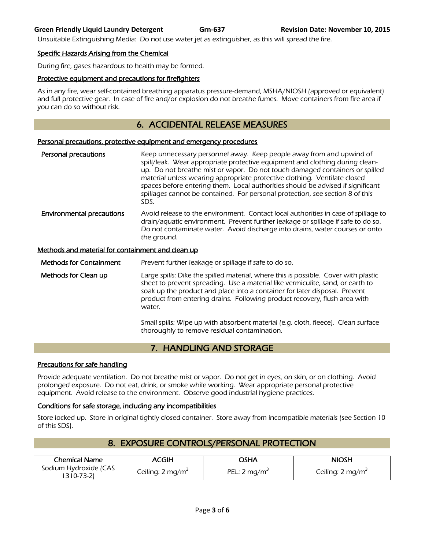#### **Green Friendly Liquid Laundry Detergent Grn-637 Revision Date: November 10, 2015**

Unsuitable Extinguishing Media: Do not use water jet as extinguisher, as this will spread the fire.

#### Specific Hazards Arising from the Chemical

During fire, gases hazardous to health may be formed.

#### Protective equipment and precautions for firefighters

As in any fire, wear self-contained breathing apparatus pressure-demand, MSHA/NIOSH (approved or equivalent) and full protective gear. In case of fire and/or explosion do not breathe fumes. Move containers from fire area if you can do so without risk.

# 6. ACCIDENTAL RELEASE MEASURES

#### Personal precautions, protective equipment and emergency procedures

Personal precautions **Keep unnecessary personnel away.** Keep people away from and upwind of spill/leak. Wear appropriate protective equipment and clothing during cleanup. Do not breathe mist or vapor. Do not touch damaged containers or spilled material unless wearing appropriate protective clothing. Ventilate closed spaces before entering them. Local authorities should be advised if significant spillages cannot be contained. For personal protection, see section 8 of this SDS. **Environmental precautions** Avoid release to the environment. Contact local authorities in case of spillage to drain/aquatic environment. Prevent further leakage or spillage if safe to do so. Do not contaminate water. Avoid discharge into drains, water courses or onto the ground.

#### Methods and material for containment and clean up

Methods for Containment Prevent further leakage or spillage if safe to do so.

` Methods for Clean up **Large spills:** Dike the spilled material, where this is possible. Cover with plastic sheet to prevent spreading. Use a material like vermiculite, sand, or earth to soak up the product and place into a container for later disposal. Prevent product from entering drains. Following product recovery, flush area with water.

> Small spills: Wipe up with absorbent material (e.g. cloth, fleece). Clean surface thoroughly to remove residual contamination.

# 7. HANDLING AND STORAGE

#### Precautions for safe handling

Provide adequate ventilation. Do not breathe mist or vapor. Do not get in eyes, on skin, or on clothing. Avoid prolonged exposure. Do not eat, drink, or smoke while working. Wear appropriate personal protective equipment. Avoid release to the environment. Observe good industrial hygiene practices.

#### Conditions for safe storage, including any incompatibilities

Store locked up. Store in original tightly closed container. Store away from incompatible materials (see Section 10 of this SDS).

| <b>Chemical Name</b>                | ACGIH                        | AH2C           | NIOSH                        |
|-------------------------------------|------------------------------|----------------|------------------------------|
| Sodium Hydroxide (CAS<br>1310-73-21 | Ceiling: 2 mg/m <sup>3</sup> | PEL: 2 $mq/m3$ | Ceiling: 2 mg/m <sup>3</sup> |

# 8. EXPOSURE CONTROLS/PERSONAL PROTECTION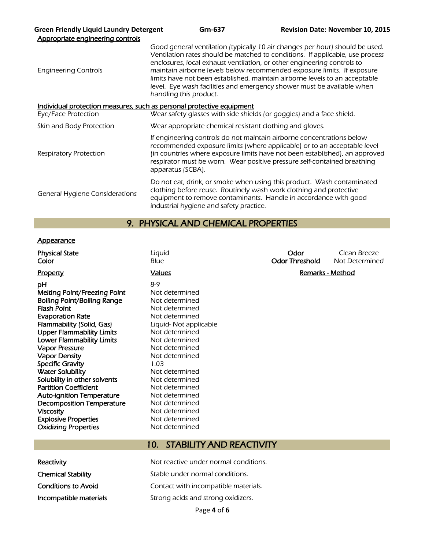| <b>Green Friendly Liquid Laundry Detergent</b><br>Appropriate engineering controls | Grn-637                                                                                                                                                                                                                                                                                                                                                                                                                                                                                                | <b>Revision Date: November 10, 2015</b> |
|------------------------------------------------------------------------------------|--------------------------------------------------------------------------------------------------------------------------------------------------------------------------------------------------------------------------------------------------------------------------------------------------------------------------------------------------------------------------------------------------------------------------------------------------------------------------------------------------------|-----------------------------------------|
| <b>Engineering Controls</b>                                                        | Good general ventilation (typically 10 air changes per hour) should be used.<br>Ventilation rates should be matched to conditions. If applicable, use process<br>enclosures, local exhaust ventilation, or other engineering controls to<br>maintain airborne levels below recommended exposure limits. If exposure<br>limits have not been established, maintain airborne levels to an acceptable<br>level. Eye wash facilities and emergency shower must be available when<br>handling this product. |                                         |
| Individual protection measures, such as personal protective equipment              |                                                                                                                                                                                                                                                                                                                                                                                                                                                                                                        |                                         |
| Eye/Face Protection                                                                | Wear safety glasses with side shields (or goggles) and a face shield.                                                                                                                                                                                                                                                                                                                                                                                                                                  |                                         |
| Skin and Body Protection                                                           | Wear appropriate chemical resistant clothing and gloves.                                                                                                                                                                                                                                                                                                                                                                                                                                               |                                         |
| <b>Respiratory Protection</b>                                                      | If engineering controls do not maintain airborne concentrations below<br>recommended exposure limits (where applicable) or to an acceptable level<br>(in countries where exposure limits have not been established), an approved<br>respirator must be worn. Wear positive pressure self-contained breathing<br>apparatus (SCBA).                                                                                                                                                                      |                                         |
| <b>General Hygiene Considerations</b>                                              | Do not eat, drink, or smoke when using this product. Wash contaminated<br>clothing before reuse. Routinely wash work clothing and protective<br>equipment to remove contaminants. Handle in accordance with good<br>industrial hygiene and safety practice.                                                                                                                                                                                                                                            |                                         |

# 9. PHYSICAL AND CHEMICAL PROPERTIES

#### **Appearance**

| <b>Physical State</b><br>Color                                                                                                                                                                                                                                                                                                                                                                                                                                                                                                                                  | Liquid<br>Blue                                                                                                                                                                                                                                                                                                                          | Odor<br><b>Odor Threshold</b> | Clean Breeze<br>Not Determined |
|-----------------------------------------------------------------------------------------------------------------------------------------------------------------------------------------------------------------------------------------------------------------------------------------------------------------------------------------------------------------------------------------------------------------------------------------------------------------------------------------------------------------------------------------------------------------|-----------------------------------------------------------------------------------------------------------------------------------------------------------------------------------------------------------------------------------------------------------------------------------------------------------------------------------------|-------------------------------|--------------------------------|
| <b>Property</b>                                                                                                                                                                                                                                                                                                                                                                                                                                                                                                                                                 | <b>Values</b>                                                                                                                                                                                                                                                                                                                           |                               | Remarks - Method               |
| рH<br>Melting Point/Freezing Point<br><b>Boiling Point/Boiling Range</b><br><b>Flash Point</b><br><b>Evaporation Rate</b><br>Flammability (Solid, Gas)<br><b>Upper Flammability Limits</b><br><b>Lower Flammability Limits</b><br><b>Vapor Pressure</b><br><b>Vapor Density</b><br><b>Specific Gravity</b><br><b>Water Solubility</b><br>Solubility in other solvents<br><b>Partition Coefficient</b><br><b>Auto-ignition Temperature</b><br><b>Decomposition Temperature</b><br><b>Viscosity</b><br><b>Explosive Properties</b><br><b>Oxidizing Properties</b> | $8-9$<br>Not determined<br>Not determined<br>Not determined<br>Not determined<br>Liquid- Not applicable<br>Not determined<br>Not determined<br>Not determined<br>Not determined<br>1.03<br>Not determined<br>Not determined<br>Not determined<br>Not determined<br>Not determined<br>Not determined<br>Not determined<br>Not determined |                               |                                |
|                                                                                                                                                                                                                                                                                                                                                                                                                                                                                                                                                                 |                                                                                                                                                                                                                                                                                                                                         |                               |                                |

# 10. STABILITY AND REACTIVITY

| Reactivity                |
|---------------------------|
| <b>Chemical Stability</b> |
| Conditions to Avoid       |
| Incompatible materials    |

Not reactive under normal conditions. Stable under normal conditions. Contact with incompatible materials. Strong acids and strong oxidizers.

Page **4** of **6**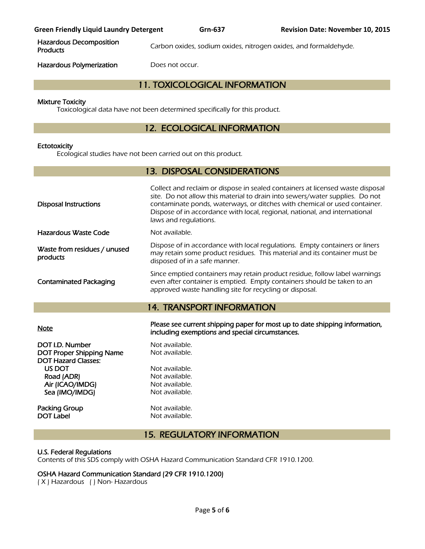Hazardous Decomposition

Carbon oxides, sodium oxides, nitrogen oxides, and formaldehyde.

Hazardous Polymerization Does not occur.

# 11. TOXICOLOGICAL INFORMATION

#### Mixture Toxicity

Toxicological data have not been determined specifically for this product.

# 12. ECOLOGICAL INFORMATION

#### **Ectotoxicity**

Ecological studies have not been carried out on this product.

| <b>13. DISPOSAL CONSIDERATIONS</b>                                                                                                            |                                                                                                                                                                                                                                                                                                                                                    |  |  |  |
|-----------------------------------------------------------------------------------------------------------------------------------------------|----------------------------------------------------------------------------------------------------------------------------------------------------------------------------------------------------------------------------------------------------------------------------------------------------------------------------------------------------|--|--|--|
| <b>Disposal Instructions</b>                                                                                                                  | Collect and reclaim or dispose in sealed containers at licensed waste disposal<br>site. Do not allow this material to drain into sewers/water supplies. Do not<br>contaminate ponds, waterways, or ditches with chemical or used container.<br>Dispose of in accordance with local, regional, national, and international<br>laws and regulations. |  |  |  |
| <b>Hazardous Waste Code</b>                                                                                                                   | Not available.                                                                                                                                                                                                                                                                                                                                     |  |  |  |
| Waste from residues / unused<br>products                                                                                                      | Dispose of in accordance with local regulations. Empty containers or liners<br>may retain some product residues. This material and its container must be<br>disposed of in a safe manner.                                                                                                                                                          |  |  |  |
| <b>Contaminated Packaging</b>                                                                                                                 | Since emptied containers may retain product residue, follow label warnings<br>even after container is emptied. Empty containers should be taken to an<br>approved waste handling site for recycling or disposal.                                                                                                                                   |  |  |  |
|                                                                                                                                               | <b>14. TRANSPORT INFORMATION</b>                                                                                                                                                                                                                                                                                                                   |  |  |  |
|                                                                                                                                               |                                                                                                                                                                                                                                                                                                                                                    |  |  |  |
| <b>Note</b>                                                                                                                                   | Please see current shipping paper for most up to date shipping information,<br>including exemptions and special circumstances.                                                                                                                                                                                                                     |  |  |  |
| DOT I.D. Number<br><b>DOT Proper Shipping Name</b><br><b>DOT Hazard Classes:</b><br>US DOT<br>Road (ADR)<br>Air (ICAO/IMDG)<br>Sea (IMO/IMDG) | Not available.<br>Not available.<br>Not available.<br>Not available.<br>Not available.<br>Not available.                                                                                                                                                                                                                                           |  |  |  |

15. REGULATORY INFORMATION

#### U.S. Federal Regulations

Contents of this SDS comply with OSHA Hazard Communication Standard CFR 1910.1200.

# OSHA Hazard Communication Standard (29 CFR 1910.1200)

( X ) Hazardous ( ) Non- Hazardous